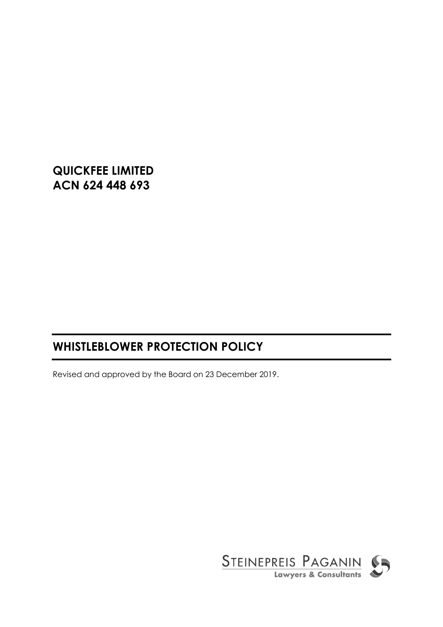**QUICKFEE LIMITED ACN 624 448 693**

# **WHISTLEBLOWER PROTECTION POLICY**

Revised and approved by the Board on 23 December 2019.

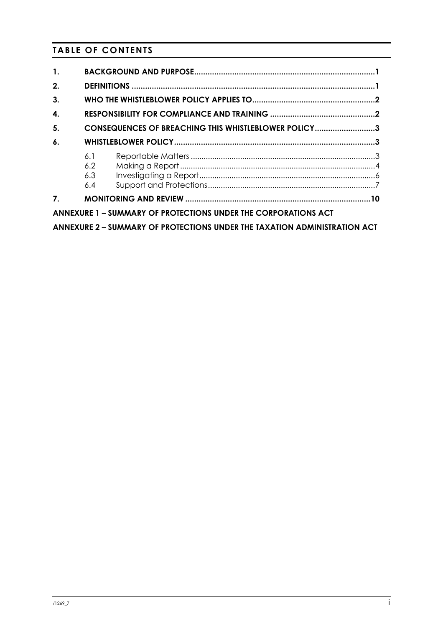# **TABLE OF CONTENTS**

| $\mathbf{1}$ . |                                                                           |
|----------------|---------------------------------------------------------------------------|
| 2.             |                                                                           |
| 3.             |                                                                           |
| 4.             |                                                                           |
| 5.             | CONSEQUENCES OF BREACHING THIS WHISTLEBLOWER POLICY3                      |
| 6.             |                                                                           |
|                | 6.1<br>6.2<br>6.3<br>6.4                                                  |
| 7 <sub>1</sub> |                                                                           |
|                | ANNEXURE 1 - SUMMARY OF PROTECTIONS UNDER THE CORPORATIONS ACT            |
|                | ANNEXURE 2 - SUMMARY OF PROTECTIONS UNDER THE TAXATION ADMINISTRATION ACT |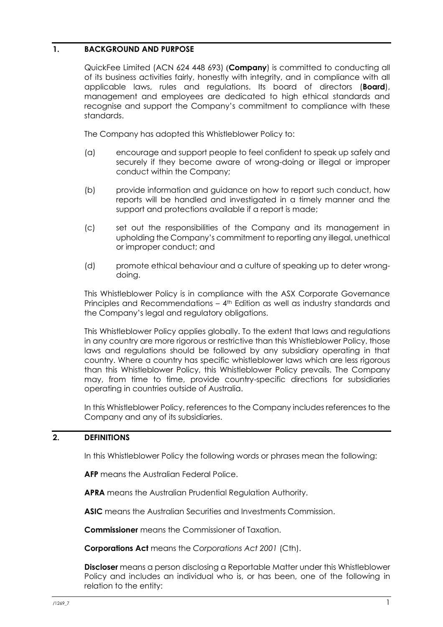# <span id="page-2-0"></span>**1. BACKGROUND AND PURPOSE**

QuickFee Limited (ACN 624 448 693) (**Company**) is committed to conducting all of its business activities fairly, honestly with integrity, and in compliance with all applicable laws, rules and regulations. Its board of directors (**Board**), management and employees are dedicated to high ethical standards and recognise and support the Company's commitment to compliance with these standards.

The Company has adopted this Whistleblower Policy to:

- (a) encourage and support people to feel confident to speak up safely and securely if they become aware of wrong-doing or illegal or improper conduct within the Company;
- (b) provide information and guidance on how to report such conduct, how reports will be handled and investigated in a timely manner and the support and protections available if a report is made;
- (c) set out the responsibilities of the Company and its management in upholding the Company's commitment to reporting any illegal, unethical or improper conduct; and
- (d) promote ethical behaviour and a culture of speaking up to deter wrongdoing.

This Whistleblower Policy is in compliance with the ASX Corporate Governance Principles and Recommendations – 4th Edition as well as industry standards and the Company's legal and regulatory obligations.

This Whistleblower Policy applies globally. To the extent that laws and regulations in any country are more rigorous or restrictive than this Whistleblower Policy, those laws and regulations should be followed by any subsidiary operating in that country. Where a country has specific whistleblower laws which are less rigorous than this Whistleblower Policy, this Whistleblower Policy prevails. The Company may, from time to time, provide country-specific directions for subsidiaries operating in countries outside of Australia.

In this Whistleblower Policy, references to the Company includes references to the Company and any of its subsidiaries.

# <span id="page-2-1"></span>**2. DEFINITIONS**

In this Whistleblower Policy the following words or phrases mean the following:

**AFP** means the Australian Federal Police.

**APRA** means the Australian Prudential Regulation Authority.

**ASIC** means the Australian Securities and Investments Commission.

**Commissioner** means the Commissioner of Taxation.

**Corporations Act** means the *Corporations Act 2001* (Cth).

**Discloser** means a person disclosing a Reportable Matter under this Whistleblower Policy and includes an individual who is, or has been, one of the following in relation to the entity: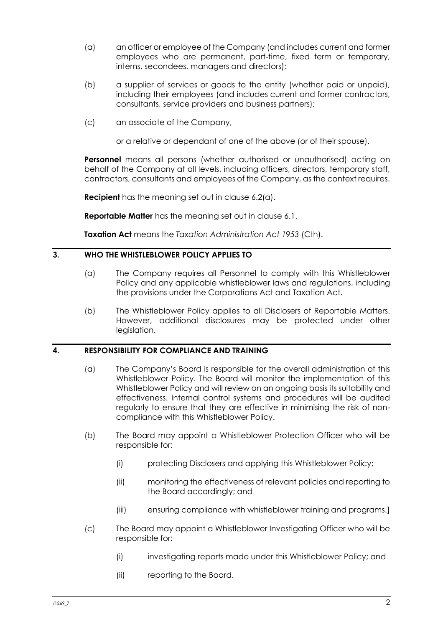- (a) an officer or employee of the Company (and includes current and former employees who are permanent, part-time, fixed term or temporary, interns, secondees, managers and directors);
- (b) a supplier of services or goods to the entity (whether paid or unpaid), including their employees (and includes current and former contractors, consultants, service providers and business partners);
- (c) an associate of the Company,

or a relative or dependant of one of the above (or of their spouse).

**Personnel** means all persons (whether authorised or unauthorised) acting on behalf of the Company at all levels, including officers, directors, temporary staff, contractors, consultants and employees of the Company, as the context requires.

**Recipient** has the meaning set out in clause [6.2\(a\).](#page-5-1)

**Reportable Matter** has the meaning set out in clause [6.1.](#page-4-2)

**Taxation Act** means the *Taxation Administration Act 1953* (Cth).

# <span id="page-3-0"></span>**3. WHO THE WHISTLEBLOWER POLICY APPLIES TO**

- (a) The Company requires all Personnel to comply with this Whistleblower Policy and any applicable whistleblower laws and regulations, including the provisions under the Corporations Act and Taxation Act.
- (b) The Whistleblower Policy applies to all Disclosers of Reportable Matters. However, additional disclosures may be protected under other legislation.

# <span id="page-3-1"></span>**4. RESPONSIBILITY FOR COMPLIANCE AND TRAINING**

- (a) The Company's Board is responsible for the overall administration of this Whistleblower Policy. The Board will monitor the implementation of this Whistleblower Policy and will review on an ongoing basis its suitability and effectiveness. Internal control systems and procedures will be audited regularly to ensure that they are effective in minimising the risk of noncompliance with this Whistleblower Policy.
- (b) The Board may appoint a Whistleblower Protection Officer who will be responsible for:
	- (i) protecting Disclosers and applying this Whistleblower Policy;
	- (ii) monitoring the effectiveness of relevant policies and reporting to the Board accordingly; and
	- (iii) ensuring compliance with whistleblower training and programs.]
- (c) The Board may appoint a Whistleblower Investigating Officer who will be responsible for:
	- (i) investigating reports made under this Whistleblower Policy; and
	- (ii) reporting to the Board.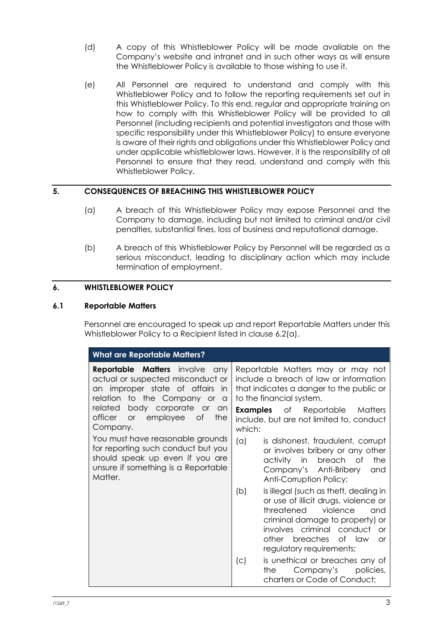- (d) A copy of this Whistleblower Policy will be made available on the Company's website and intranet and in such other ways as will ensure the Whistleblower Policy is available to those wishing to use it.
- (e) All Personnel are required to understand and comply with this Whistleblower Policy and to follow the reporting requirements set out in this Whistleblower Policy. To this end, regular and appropriate training on how to comply with this Whistleblower Policy will be provided to all Personnel (including recipients and potential investigators and those with specific responsibility under this Whistleblower Policy) to ensure everyone is aware of their rights and obligations under this Whistleblower Policy and under applicable whistleblower laws. However, it is the responsibility of all Personnel to ensure that they read, understand and comply with this Whistleblower Policy.

# <span id="page-4-0"></span>**5. CONSEQUENCES OF BREACHING THIS WHISTLEBLOWER POLICY**

- (a) A breach of this Whistleblower Policy may expose Personnel and the Company to damage, including but not limited to criminal and/or civil penalties, substantial fines, loss of business and reputational damage.
- (b) A breach of this Whistleblower Policy by Personnel will be regarded as a serious misconduct, leading to disciplinary action which may include termination of employment.

# <span id="page-4-1"></span>**6. WHISTLEBLOWER POLICY**

# <span id="page-4-2"></span>**6.1 Reportable Matters**

Personnel are encouraged to speak up and report Reportable Matters under this Whistleblower Policy to a Recipient listed in clause [6.2\(a\).](#page-5-1)

| <b>What are Reportable Matters?</b>                                                                                                                                                                                                          |                                                                                                                                                                                                                                                                         |  |  |  |  |
|----------------------------------------------------------------------------------------------------------------------------------------------------------------------------------------------------------------------------------------------|-------------------------------------------------------------------------------------------------------------------------------------------------------------------------------------------------------------------------------------------------------------------------|--|--|--|--|
| <b>Reportable Matters</b> involve<br>any<br>actual or suspected misconduct or<br>an improper state of affairs<br>in<br>relation to the Company or<br>a<br>body corporate or an<br>related<br>officer<br>employee of<br>or<br>the<br>Company. | Reportable Matters may or may not<br>include a breach of law or information<br>that indicates a danger to the public or<br>to the financial system.<br><b>Examples</b> of Reportable Matters<br>include, but are not limited to, conduct<br>which:                      |  |  |  |  |
| You must have reasonable grounds<br>for reporting such conduct but you<br>should speak up even if you are<br>unsure if something is a Reportable<br>Matter.                                                                                  | $(\alpha)$<br>is dishonest, fraudulent, corrupt<br>or involves bribery or any other<br>the<br>activity in breach of<br>Company's Anti-Bribery<br>and<br>Anti-Corruption Policy;                                                                                         |  |  |  |  |
|                                                                                                                                                                                                                                              | is illegal (such as theft, dealing in<br>(b)<br>or use of illicit drugs, violence or<br>threatened<br>violence<br>and<br>criminal damage to property) or<br>involves criminal conduct<br><b>or</b><br>other breaches<br>of law<br><b>or</b><br>regulatory requirements; |  |  |  |  |
|                                                                                                                                                                                                                                              | is unethical or breaches any of<br>(C)<br>Company's policies,<br>the<br>charters or Code of Conduct;                                                                                                                                                                    |  |  |  |  |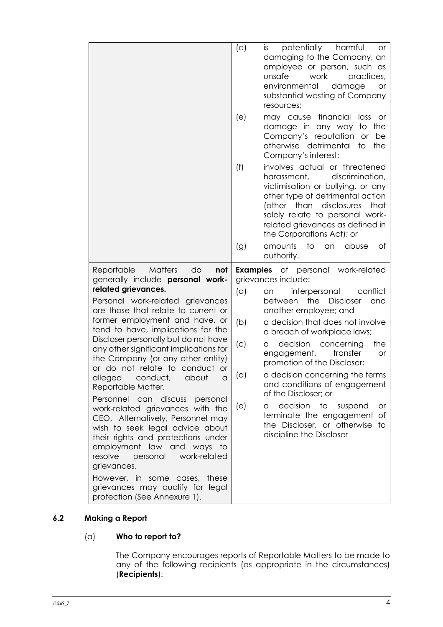|                                                                                                                                                                                                                                                                                                                                                                                                                                                                                                                                                                                                                                                                                                                                                                                         | (d)<br>(e)                      | potentially<br>harmful<br>is.<br><b>or</b><br>damaging to the Company, an<br>employee or person, such as<br>unsafe<br>work<br>practices,<br>environmental<br>damage<br><b>or</b><br>substantial wasting of Company<br>resources;<br>financial<br>loss<br>may cause<br>_or<br>damage in any way<br>the<br>to                                                                                                                                                                                                                                                                       |
|-----------------------------------------------------------------------------------------------------------------------------------------------------------------------------------------------------------------------------------------------------------------------------------------------------------------------------------------------------------------------------------------------------------------------------------------------------------------------------------------------------------------------------------------------------------------------------------------------------------------------------------------------------------------------------------------------------------------------------------------------------------------------------------------|---------------------------------|-----------------------------------------------------------------------------------------------------------------------------------------------------------------------------------------------------------------------------------------------------------------------------------------------------------------------------------------------------------------------------------------------------------------------------------------------------------------------------------------------------------------------------------------------------------------------------------|
|                                                                                                                                                                                                                                                                                                                                                                                                                                                                                                                                                                                                                                                                                                                                                                                         |                                 | Company's reputation<br>or<br>be<br>otherwise detrimental to<br>the<br>Company's interest;                                                                                                                                                                                                                                                                                                                                                                                                                                                                                        |
|                                                                                                                                                                                                                                                                                                                                                                                                                                                                                                                                                                                                                                                                                                                                                                                         | (f)                             | involves actual or threatened<br>discrimination,<br>harassment,<br>victimisation or bullying, or any<br>other type of detrimental action<br>(other than disclosures<br>that<br>solely relate to personal work-<br>related grievances as defined in<br>the Corporations Act); or                                                                                                                                                                                                                                                                                                   |
|                                                                                                                                                                                                                                                                                                                                                                                                                                                                                                                                                                                                                                                                                                                                                                                         | (g)                             | amounts<br>to<br>abuse<br>Оf<br>an<br>authority.                                                                                                                                                                                                                                                                                                                                                                                                                                                                                                                                  |
| <b>Matters</b><br>Reportable<br>do<br>not<br>generally include personal work-<br>related grievances.<br>Personal work-related grievances<br>are those that relate to current or<br>former employment and have, or<br>tend to have, implications for the<br>Discloser personally but do not have<br>any other significant implications for<br>the Company (or any other entity)<br>or do not relate to conduct or<br>alleged<br>conduct,<br>about<br>a<br>Reportable Matter.<br>Personnel can discuss<br>personal<br>work-related grievances with the<br>CEO. Alternatively, Personnel may<br>wish to seek legal advice about<br>their rights and protections under<br>employment law and ways to<br>resolve<br>personal<br>work-related<br>grievances.<br>However, in some cases, these | (a)<br>(b)<br>(C)<br>(d)<br>(e) | <b>Examples</b> of personal work-related<br>grievances include:<br>conflict<br>interpersonal<br>an<br><b>Discloser</b><br>between<br>the<br>and<br>another employee; and<br>a decision that does not involve<br>a breach of workplace laws;<br>decision<br>the<br>concerning<br>a<br>engagement,<br>transfer<br>or<br>promotion of the Discloser;<br>a decision concerning the terms<br>and conditions of engagement<br>of the Discloser; or<br>decision to<br>suspend<br>or<br>a<br>terminate the engagement of<br>the Discloser, or otherwise<br>to<br>discipline the Discloser |

# <span id="page-5-1"></span><span id="page-5-0"></span>**6.2 Making a Report**

# (a) **Who to report to?**

The Company encourages reports of Reportable Matters to be made to any of the following recipients (as appropriate in the circumstances) (**Recipients**):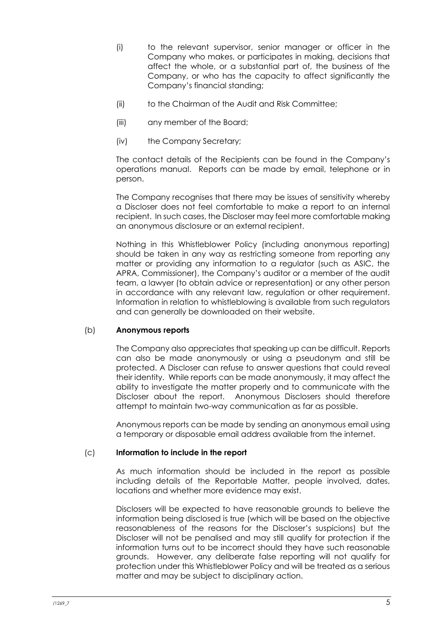- (i) to the relevant supervisor, senior manager or officer in the Company who makes, or participates in making, decisions that affect the whole, or a substantial part of, the business of the Company, or who has the capacity to affect significantly the Company's financial standing;
- (ii) to the Chairman of the Audit and Risk Committee;
- (iii) any member of the Board;
- (iv) the Company Secretary;

The contact details of the Recipients can be found in the Company's operations manual. Reports can be made by email, telephone or in person.

The Company recognises that there may be issues of sensitivity whereby a Discloser does not feel comfortable to make a report to an internal recipient. In such cases, the Discloser may feel more comfortable making an anonymous disclosure or an external recipient.

Nothing in this Whistleblower Policy (including anonymous reporting) should be taken in any way as restricting someone from reporting any matter or providing any information to a regulator (such as ASIC, the APRA, Commissioner), the Company's auditor or a member of the audit team, a lawyer (to obtain advice or representation) or any other person in accordance with any relevant law, regulation or other requirement. Information in relation to whistleblowing is available from such regulators and can generally be downloaded on their website.

# (b) **Anonymous reports**

The Company also appreciates that speaking up can be difficult. Reports can also be made anonymously or using a pseudonym and still be protected. A Discloser can refuse to answer questions that could reveal their identity. While reports can be made anonymously, it may affect the ability to investigate the matter properly and to communicate with the Discloser about the report. Anonymous Disclosers should therefore attempt to maintain two-way communication as far as possible.

Anonymous reports can be made by sending an anonymous email using a temporary or disposable email address available from the internet.

# (c) **Information to include in the report**

As much information should be included in the report as possible including details of the Reportable Matter, people involved, dates, locations and whether more evidence may exist.

Disclosers will be expected to have reasonable grounds to believe the information being disclosed is true (which will be based on the objective reasonableness of the reasons for the Discloser's suspicions) but the Discloser will not be penalised and may still qualify for protection if the information turns out to be incorrect should they have such reasonable grounds. However, any deliberate false reporting will not qualify for protection under this Whistleblower Policy and will be treated as a serious matter and may be subject to disciplinary action.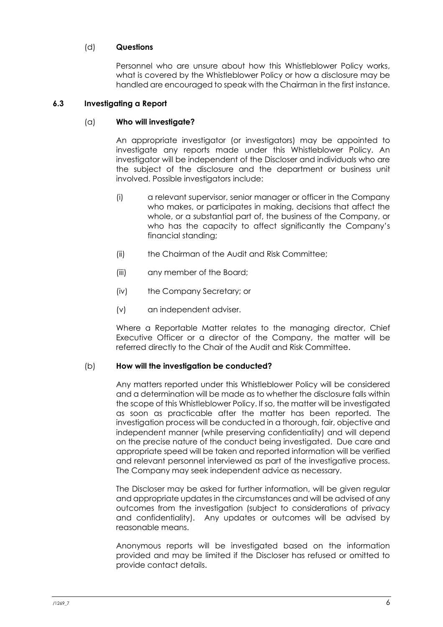# (d) **Questions**

Personnel who are unsure about how this Whistleblower Policy works, what is covered by the Whistleblower Policy or how a disclosure may be handled are encouraged to speak with the Chairman in the first instance.

# <span id="page-7-0"></span>**6.3 Investigating a Report**

# (a) **Who will investigate?**

An appropriate investigator (or investigators) may be appointed to investigate any reports made under this Whistleblower Policy. An investigator will be independent of the Discloser and individuals who are the subject of the disclosure and the department or business unit involved. Possible investigators include:

- (i) a relevant supervisor, senior manager or officer in the Company who makes, or participates in making, decisions that affect the whole, or a substantial part of, the business of the Company, or who has the capacity to affect significantly the Company's financial standing;
- (ii) the Chairman of the Audit and Risk Committee;
- (iii) any member of the Board;
- (iv) the Company Secretary; or
- (v) an independent adviser.

Where a Reportable Matter relates to the managing director, Chief Executive Officer or a director of the Company, the matter will be referred directly to the Chair of the Audit and Risk Committee.

# (b) **How will the investigation be conducted?**

Any matters reported under this Whistleblower Policy will be considered and a determination will be made as to whether the disclosure falls within the scope of this Whistleblower Policy. If so, the matter will be investigated as soon as practicable after the matter has been reported. The investigation process will be conducted in a thorough, fair, objective and independent manner (while preserving confidentiality) and will depend on the precise nature of the conduct being investigated. Due care and appropriate speed will be taken and reported information will be verified and relevant personnel interviewed as part of the investigative process. The Company may seek independent advice as necessary.

The Discloser may be asked for further information, will be given regular and appropriate updates in the circumstances and will be advised of any outcomes from the investigation (subject to considerations of privacy and confidentiality). Any updates or outcomes will be advised by reasonable means.

Anonymous reports will be investigated based on the information provided and may be limited if the Discloser has refused or omitted to provide contact details.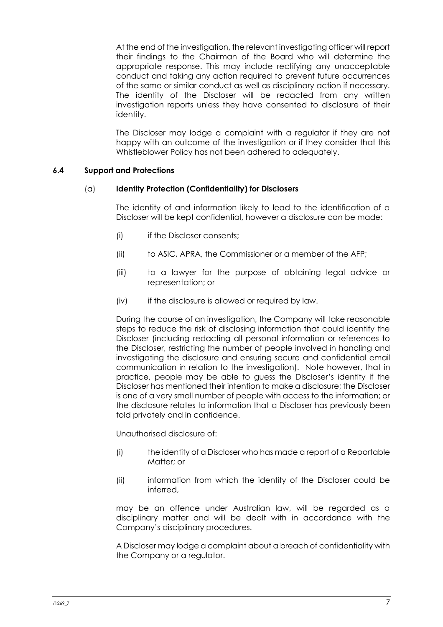At the end of the investigation, the relevant investigating officer will report their findings to the Chairman of the Board who will determine the appropriate response. This may include rectifying any unacceptable conduct and taking any action required to prevent future occurrences of the same or similar conduct as well as disciplinary action if necessary. The identity of the Discloser will be redacted from any written investigation reports unless they have consented to disclosure of their identity.

The Discloser may lodge a complaint with a regulator if they are not happy with an outcome of the investigation or if they consider that this Whistleblower Policy has not been adhered to adequately.

# <span id="page-8-0"></span>**6.4 Support and Protections**

# (a) **Identity Protection (Confidentiality) for Disclosers**

The identity of and information likely to lead to the identification of a Discloser will be kept confidential, however a disclosure can be made:

- (i) if the Discloser consents;
- (ii) to ASIC, APRA, the Commissioner or a member of the AFP;
- (iii) to a lawyer for the purpose of obtaining legal advice or representation; or
- (iv) if the disclosure is allowed or required by law.

During the course of an investigation, the Company will take reasonable steps to reduce the risk of disclosing information that could identify the Discloser (including redacting all personal information or references to the Discloser, restricting the number of people involved in handling and investigating the disclosure and ensuring secure and confidential email communication in relation to the investigation). Note however, that in practice, people may be able to guess the Discloser's identity if the Discloser has mentioned their intention to make a disclosure; the Discloser is one of a very small number of people with access to the information; or the disclosure relates to information that a Discloser has previously been told privately and in confidence.

Unauthorised disclosure of:

- (i) the identity of a Discloser who has made a report of a Reportable Matter; or
- (ii) information from which the identity of the Discloser could be inferred,

may be an offence under Australian law, will be regarded as a disciplinary matter and will be dealt with in accordance with the Company's disciplinary procedures.

A Discloser may lodge a complaint about a breach of confidentiality with the Company or a regulator.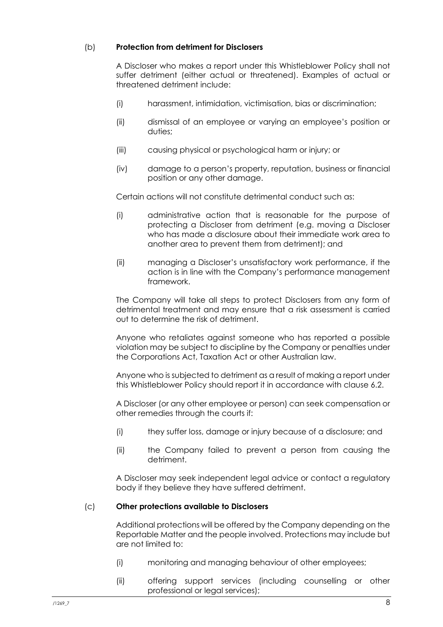# (b) **Protection from detriment for Disclosers**

A Discloser who makes a report under this Whistleblower Policy shall not suffer detriment (either actual or threatened). Examples of actual or threatened detriment include:

- (i) harassment, intimidation, victimisation, bias or discrimination;
- (ii) dismissal of an employee or varying an employee's position or duties;
- (iii) causing physical or psychological harm or injury; or
- (iv) damage to a person's property, reputation, business or financial position or any other damage.

Certain actions will not constitute detrimental conduct such as:

- (i) administrative action that is reasonable for the purpose of protecting a Discloser from detriment (e.g. moving a Discloser who has made a disclosure about their immediate work area to another area to prevent them from detriment); and
- (ii) managing a Discloser's unsatisfactory work performance, if the action is in line with the Company's performance management framework.

The Company will take all steps to protect Disclosers from any form of detrimental treatment and may ensure that a risk assessment is carried out to determine the risk of detriment.

Anyone who retaliates against someone who has reported a possible violation may be subject to discipline by the Company or penalties under the Corporations Act, Taxation Act or other Australian law.

Anyone who is subjected to detriment as a result of making a report under this Whistleblower Policy should report it in accordance with clause [6.2.](#page-5-0)

A Discloser (or any other employee or person) can seek compensation or other remedies through the courts if:

- (i) they suffer loss, damage or injury because of a disclosure; and
- (ii) the Company failed to prevent a person from causing the detriment.

A Discloser may seek independent legal advice or contact a regulatory body if they believe they have suffered detriment.

# (c) **Other protections available to Disclosers**

Additional protections will be offered by the Company depending on the Reportable Matter and the people involved. Protections may include but are not limited to:

- (i) monitoring and managing behaviour of other employees;
- (ii) offering support services (including counselling or other professional or legal services);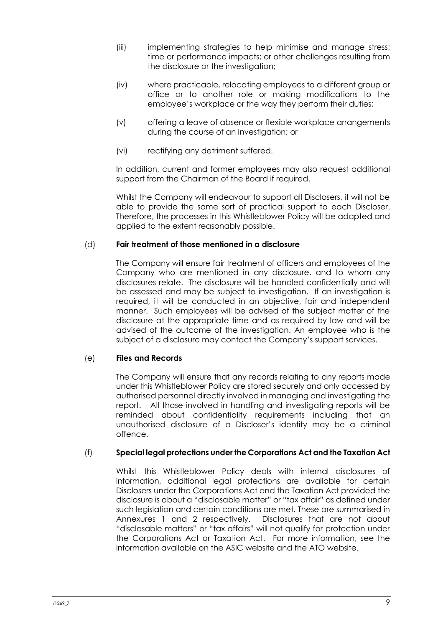- (iii) implementing strategies to help minimise and manage stress; time or performance impacts; or other challenges resulting from the disclosure or the investigation;
- (iv) where practicable, relocating employees to a different group or office or to another role or making modifications to the employee's workplace or the way they perform their duties;
- (v) offering a leave of absence or flexible workplace arrangements during the course of an investigation; or
- (vi) rectifying any detriment suffered.

In addition, current and former employees may also request additional support from the Chairman of the Board if required.

Whilst the Company will endeavour to support all Disclosers, it will not be able to provide the same sort of practical support to each Discloser. Therefore, the processes in this Whistleblower Policy will be adapted and applied to the extent reasonably possible.

# (d) **Fair treatment of those mentioned in a disclosure**

The Company will ensure fair treatment of officers and employees of the Company who are mentioned in any disclosure, and to whom any disclosures relate. The disclosure will be handled confidentially and will be assessed and may be subject to investigation. If an investigation is required, it will be conducted in an objective, fair and independent manner. Such employees will be advised of the subject matter of the disclosure at the appropriate time and as required by law and will be advised of the outcome of the investigation. An employee who is the subject of a disclosure may contact the Company's support services.

# (e) **Files and Records**

The Company will ensure that any records relating to any reports made under this Whistleblower Policy are stored securely and only accessed by authorised personnel directly involved in managing and investigating the report. All those involved in handling and investigating reports will be reminded about confidentiality requirements including that an unauthorised disclosure of a Discloser's identity may be a criminal offence.

# (f) **Special legal protections under the Corporations Act and the Taxation Act**

Whilst this Whistleblower Policy deals with internal disclosures of information, additional legal protections are available for certain Disclosers under the Corporations Act and the Taxation Act provided the disclosure is about a "disclosable matter" or "tax affair" as defined under such legislation and certain conditions are met. These are summarised in Annexures 1 and 2 respectively. Disclosures that are not about "disclosable matters" or "tax affairs" will not qualify for protection under the Corporations Act or Taxation Act. For more information, see the information available on the ASIC website and the ATO website.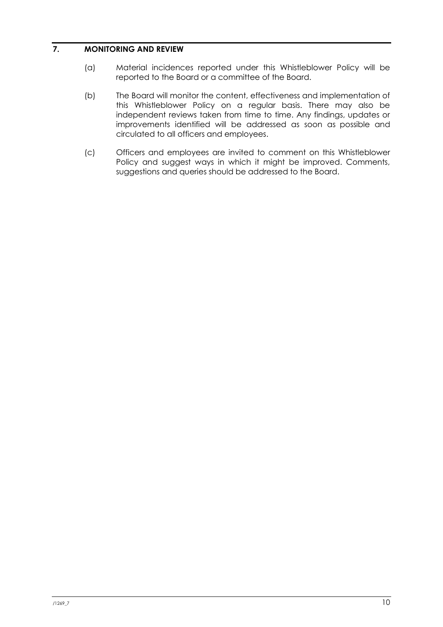# <span id="page-11-0"></span>**7. MONITORING AND REVIEW**

- (a) Material incidences reported under this Whistleblower Policy will be reported to the Board or a committee of the Board.
- (b) The Board will monitor the content, effectiveness and implementation of this Whistleblower Policy on a regular basis. There may also be independent reviews taken from time to time. Any findings, updates or improvements identified will be addressed as soon as possible and circulated to all officers and employees.
- (c) Officers and employees are invited to comment on this Whistleblower Policy and suggest ways in which it might be improved. Comments, suggestions and queries should be addressed to the Board.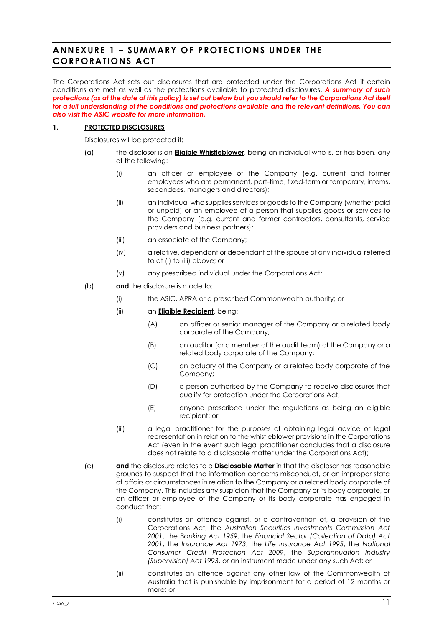# <span id="page-12-0"></span>**ANNEXURE 1 – SUMMARY OF PROTECTIONS UNDER THE CORPORATIONS ACT**

The Corporations Act sets out disclosures that are protected under the Corporations Act if certain conditions are met as well as the protections available to protected disclosures. *A summary of such protections (as at the date of this policy) is set out below but you should refer to the Corporations Act itself for a full understanding of the conditions and protections available and the relevant definitions. You can also visit the ASIC website for more information.*

### **1. PROTECTED DISCLOSURES**

Disclosures will be protected if:

- <span id="page-12-1"></span>(a) the discloser is an **Eligible Whistleblower**, being an individual who is, or has been, any of the following:
	- (i) an officer or employee of the Company (e.g. current and former employees who are permanent, part-time, fixed-term or temporary, interns, secondees, managers and directors);
	- (ii) an individual who supplies services or goods to the Company (whether paid or unpaid) or an employee of a person that supplies goods or services to the Company (e.g. current and former contractors, consultants, service providers and business partners);
	- (iii) an associate of the Company;
	- (iv) a relative, dependant or dependant of the spouse of any individual referred to a[t \(i\)](#page-12-1) to [\(iii\)](#page-12-2) above; or
	- (v) any prescribed individual under the Corporations Act;
- <span id="page-12-2"></span>(b) **and** the disclosure is made to:
	- (i) the ASIC, APRA or a prescribed Commonwealth authority; or
	- (ii) an **Eligible Recipient**, being:
		- (A) an officer or senior manager of the Company or a related body corporate of the Company;
		- (B) an auditor (or a member of the audit team) of the Company or a related body corporate of the Company;
		- (C) an actuary of the Company or a related body corporate of the Company;
		- (D) a person authorised by the Company to receive disclosures that qualify for protection under the Corporations Act;
		- (E) anyone prescribed under the regulations as being an eligible recipient; or
	- (iii) a legal practitioner for the purposes of obtaining legal advice or legal representation in relation to the whistleblower provisions in the Corporations Act (even in the event such legal practitioner concludes that a disclosure does not relate to a disclosable matter under the Corporations Act);
- (c) **and** the disclosure relates to a **Disclosable Matter** in that the discloser has reasonable grounds to suspect that the information concerns misconduct, or an improper state of affairs or circumstances in relation to the Company or a related body corporate of the Company. This includes any suspicion that the Company or its body corporate, or an officer or employee of the Company or its body corporate has engaged in conduct that:
	- (i) constitutes an offence against, or a contravention of, a provision of the Corporations Act, the *Australian Securities Investments Commission Act 2001*, the *Banking Act 1959*, the *Financial Sector (Collection of Data) Act 2001*, the *Insurance Act 1973*, the *Life Insurance Act 1995*, the *National Consumer Credit Protection Act 2009*, the *Superannuation Industry (Supervision) Act 1993*, or an instrument made under any such Act; or
	- (ii) constitutes an offence against any other law of the Commonwealth of Australia that is punishable by imprisonment for a period of 12 months or more; or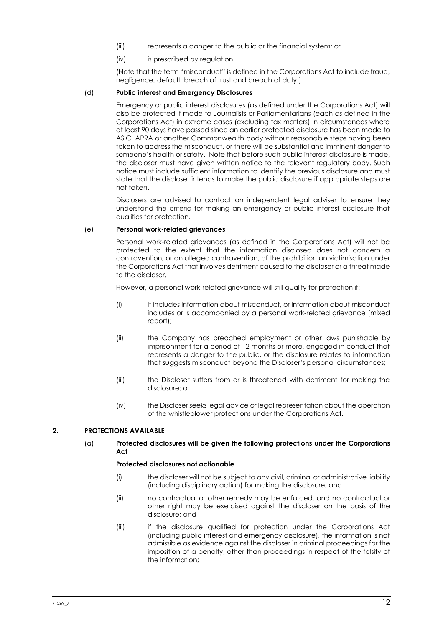- (iii) represents a danger to the public or the financial system; or
- (iv) is prescribed by regulation.

(Note that the term "misconduct" is defined in the Corporations Act to include fraud, negligence, default, breach of trust and breach of duty.)

### (d) **Public interest and Emergency Disclosures**

Emergency or public interest disclosures (as defined under the Corporations Act) will also be protected if made to Journalists or Parliamentarians (each as defined in the Corporations Act) in extreme cases (excluding tax matters) in circumstances where at least 90 days have passed since an earlier protected disclosure has been made to ASIC, APRA or another Commonwealth body without reasonable steps having been taken to address the misconduct, or there will be substantial and imminent danger to someone's health or safety. Note that before such public interest disclosure is made, the discloser must have given written notice to the relevant regulatory body. Such notice must include sufficient information to identify the previous disclosure and must state that the discloser intends to make the public disclosure if appropriate steps are not taken.

Disclosers are advised to contact an independent legal adviser to ensure they understand the criteria for making an emergency or public interest disclosure that qualifies for protection.

### (e) **Personal work-related grievances**

Personal work-related grievances (as defined in the Corporations Act) will not be protected to the extent that the information disclosed does not concern a contravention, or an alleged contravention, of the prohibition on victimisation under the Corporations Act that involves detriment caused to the discloser or a threat made to the discloser.

However, a personal work-related grievance will still qualify for protection if:

- (i) it includes information about misconduct, or information about misconduct includes or is accompanied by a personal work-related grievance (mixed report);
- (ii) the Company has breached employment or other laws punishable by imprisonment for a period of 12 months or more, engaged in conduct that represents a danger to the public, or the disclosure relates to information that suggests misconduct beyond the Discloser's personal circumstances;
- (iii) the Discloser suffers from or is threatened with detriment for making the disclosure; or
- (iv) the Discloser seeks legal advice or legal representation about the operation of the whistleblower protections under the Corporations Act.

### **2. PROTECTIONS AVAILABLE**

### (a) **Protected disclosures will be given the following protections under the Corporations Act**

#### **Protected disclosures not actionable**

- (i) the discloser will not be subject to any civil, criminal or administrative liability (including disciplinary action) for making the disclosure; and
- (ii) no contractual or other remedy may be enforced, and no contractual or other right may be exercised against the discloser on the basis of the disclosure; and
- (iii) if the disclosure qualified for protection under the Corporations Act (including public interest and emergency disclosure), the information is not admissible as evidence against the discloser in criminal proceedings for the imposition of a penalty, other than proceedings in respect of the falsity of the information;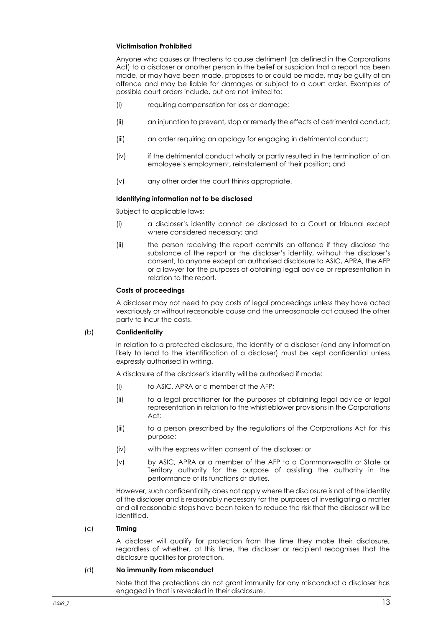#### **Victimisation Prohibited**

Anyone who causes or threatens to cause detriment (as defined in the Corporations Act) to a discloser or another person in the belief or suspicion that a report has been made, or may have been made, proposes to or could be made, may be guilty of an offence and may be liable for damages or subject to a court order. Examples of possible court orders include, but are not limited to:

- (i) requiring compensation for loss or damage;
- (ii) an injunction to prevent, stop or remedy the effects of detrimental conduct;
- (iii) an order requiring an apology for engaging in detrimental conduct;
- (iv) if the detrimental conduct wholly or partly resulted in the termination of an employee's employment, reinstatement of their position; and
- (v) any other order the court thinks appropriate.

### **Identifying information not to be disclosed**

Subject to applicable laws:

- (i) a discloser's identity cannot be disclosed to a Court or tribunal except where considered necessary; and
- (ii) the person receiving the report commits an offence if they disclose the substance of the report or the discloser's identity, without the discloser's consent, to anyone except an authorised disclosure to ASIC, APRA, the AFP or a lawyer for the purposes of obtaining legal advice or representation in relation to the report.

### **Costs of proceedings**

A discloser may not need to pay costs of legal proceedings unless they have acted vexatiously or without reasonable cause and the unreasonable act caused the other party to incur the costs.

### (b) **Confidentiality**

In relation to a protected disclosure, the identity of a discloser (and any information likely to lead to the identification of a discloser) must be kept confidential unless expressly authorised in writing.

A disclosure of the discloser's identity will be authorised if made:

- (i) to ASIC, APRA or a member of the AFP;
- (ii) to a legal practitioner for the purposes of obtaining legal advice or legal representation in relation to the whistleblower provisions in the Corporations Act;
- (iii) to a person prescribed by the regulations of the Corporations Act for this purpose;
- (iv) with the express written consent of the discloser; or
- (v) by ASIC, APRA or a member of the AFP to a Commonwealth or State or Territory authority for the purpose of assisting the authority in the performance of its functions or duties.

However, such confidentiality does not apply where the disclosure is not of the identity of the discloser and is reasonably necessary for the purposes of investigating a matter and all reasonable steps have been taken to reduce the risk that the discloser will be identified.

### (c) **Timing**

A discloser will qualify for protection from the time they make their disclosure, regardless of whether, at this time, the discloser or recipient recognises that the disclosure qualifies for protection.

#### (d) **No immunity from misconduct**

Note that the protections do not grant immunity for any misconduct a discloser has engaged in that is revealed in their disclosure.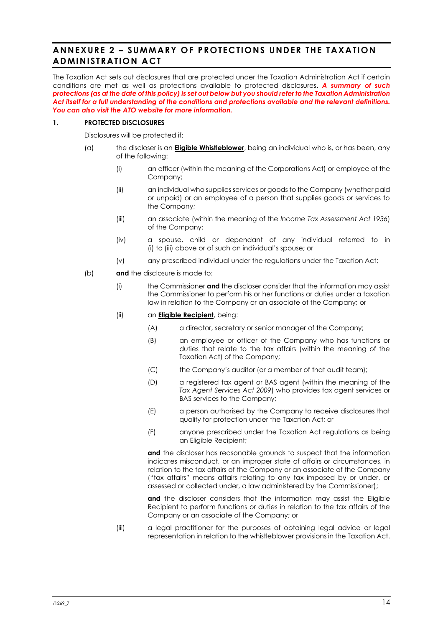# <span id="page-15-0"></span>**ANNEXURE 2 – SUMMARY OF PROTECTIONS UNDER THE TAXATION ADMINISTRATION ACT**

The Taxation Act sets out disclosures that are protected under the Taxation Administration Act if certain conditions are met as well as protections available to protected disclosures. *A summary of such protections (as at the date of this policy) is set out below but you should refer to the Taxation Administration Act itself for a full understanding of the conditions and protections available and the relevant definitions. You can also visit the ATO website for more information.*

### **1. PROTECTED DISCLOSURES**

Disclosures will be protected if:

- <span id="page-15-1"></span>(a) the discloser is an **Eligible Whistleblower**, being an individual who is, or has been, any of the following:
	- (i) an officer (within the meaning of the Corporations Act) or employee of the Company;
	- (ii) an individual who supplies services or goods to the Company (whether paid or unpaid) or an employee of a person that supplies goods or services to the Company;
	- (iii) an associate (within the meaning of the *Income Tax Assessment Act 1936*) of the Company;
	- (iv) a spouse, child or dependant of any individual referred to in [\(i\)](#page-15-1) to [\(iii\)](#page-15-2) above or of such an individual's spouse; or
	- (v) any prescribed individual under the regulations under the Taxation Act;
- <span id="page-15-2"></span>(b) **and** the disclosure is made to:
	- (i) the Commissioner **and** the discloser consider that the information may assist the Commissioner to perform his or her functions or duties under a taxation law in relation to the Company or an associate of the Company; or
	- (ii) an **Eligible Recipient**, being:
		- (A) a director, secretary or senior manager of the Company;
		- (B) an employee or officer of the Company who has functions or duties that relate to the tax affairs (within the meaning of the Taxation Act) of the Company;
		- (C) the Company's auditor (or a member of that audit team);
		- (D) a registered tax agent or BAS agent (within the meaning of the *Tax Agent Services Act 2009*) who provides tax agent services or BAS services to the Company;
		- (E) a person authorised by the Company to receive disclosures that qualify for protection under the Taxation Act; or
		- (F) anyone prescribed under the Taxation Act regulations as being an Eligible Recipient;

and the discloser has reasonable grounds to suspect that the information indicates misconduct, or an improper state of affairs or circumstances, in relation to the tax affairs of the Company or an associate of the Company ("tax affairs" means affairs relating to any tax imposed by or under, or assessed or collected under, a law administered by the Commissioner);

and the discloser considers that the information may assist the Eligible Recipient to perform functions or duties in relation to the tax affairs of the Company or an associate of the Company; or

(iii) a legal practitioner for the purposes of obtaining legal advice or legal representation in relation to the whistleblower provisions in the Taxation Act.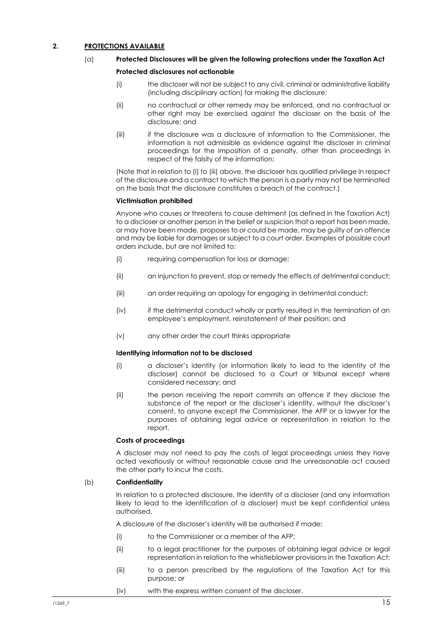### <span id="page-16-0"></span>**2. PROTECTIONS AVAILABLE**

### (a) **Protected Disclosures will be given the following protections under the Taxation Act**

#### **Protected disclosures not actionable**

- (i) the discloser will not be subject to any civil, criminal or administrative liability (including disciplinary action) for making the disclosure;
- (ii) no contractual or other remedy may be enforced, and no contractual or other right may be exercised against the discloser on the basis of the disclosure; and
- <span id="page-16-1"></span>(iii) if the disclosure was a disclosure of information to the Commissioner, the information is not admissible as evidence against the discloser in criminal proceedings for the imposition of a penalty, other than proceedings in respect of the falsity of the information;

(Note that in relation to [\(i\)](#page-16-0) t[o \(iii\)](#page-16-1) above, the discloser has qualified privilege in respect of the disclosure and a contract to which the person is a party may not be terminated on the basis that the disclosure constitutes a breach of the contract.)

### **Victimisation prohibited**

Anyone who causes or threatens to cause detriment (as defined in the Taxation Act) to a discloser or another person in the belief or suspicion that a report has been made, or may have been made, proposes to or could be made, may be guilty of an offence and may be liable for damages or subject to a court order. Examples of possible court orders include, but are not limited to:

- (i) requiring compensation for loss or damage;
- (ii) an injunction to prevent, stop or remedy the effects of detrimental conduct;
- (iii) an order requiring an apology for engaging in detrimental conduct;
- (iv) if the detrimental conduct wholly or partly resulted in the termination of an employee's employment, reinstatement of their position; and
- (v) any other order the court thinks appropriate

#### **Identifying information not to be disclosed**

- (i) a discloser's identity (or information likely to lead to the identity of the discloser) cannot be disclosed to a Court or tribunal except where considered necessary; and
- (ii) the person receiving the report commits an offence if they disclose the substance of the report or the discloser's identity, without the discloser's consent, to anyone except the Commissioner, the AFP or a lawyer for the purposes of obtaining legal advice or representation in relation to the report.

### **Costs of proceedings**

A discloser may not need to pay the costs of legal proceedings unless they have acted vexatiously or without reasonable cause and the unreasonable act caused the other party to incur the costs.

### (b) **Confidentiality**

In relation to a protected disclosure, the identity of a discloser (and any information likely to lead to the identification of a discloser) must be kept confidential unless authorised.

A disclosure of the discloser's identity will be authorised if made:

- (i) to the Commissioner or a member of the AFP;
- (ii) to a legal practitioner for the purposes of obtaining legal advice or legal representation in relation to the whistleblower provisions in the Taxation Act;
- (iii) to a person prescribed by the regulations of the Taxation Act for this purpose; or
- (iv) with the express written consent of the discloser.